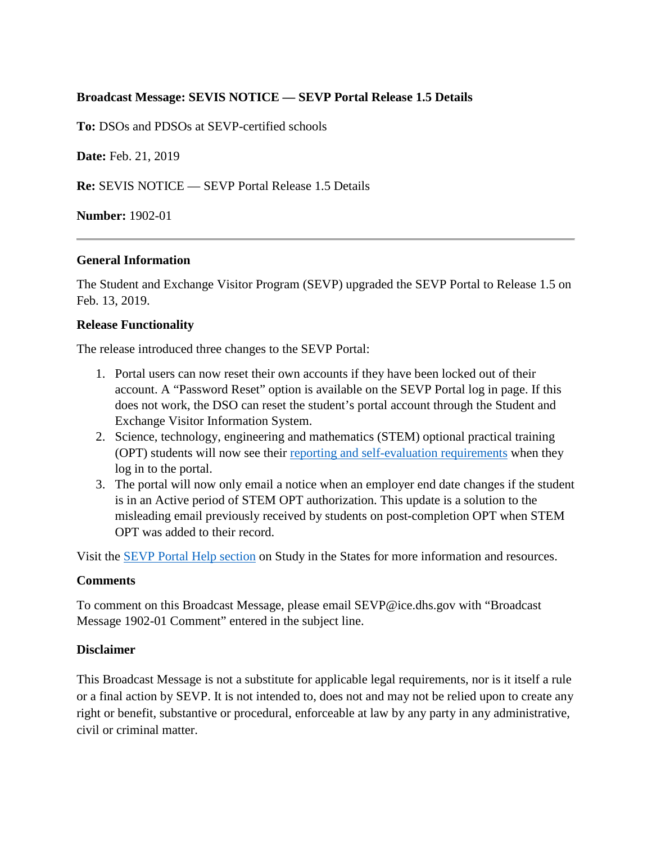# **Broadcast Message: SEVIS NOTICE — SEVP Portal Release 1.5 Details**

**To:** DSOs and PDSOs at SEVP-certified schools

**Date:** Feb. 21, 2019

**Re:** SEVIS NOTICE — SEVP Portal Release 1.5 Details

## **Number:** 1902-01

### **General Information**

The Student and Exchange Visitor Program (SEVP) upgraded the SEVP Portal to Release 1.5 on Feb. 13, 2019.

## **Release Functionality**

The release introduced three changes to the SEVP Portal:

- 1. Portal users can now reset their own accounts if they have been locked out of their account. A "Password Reset" option is available on the SEVP Portal log in page. If this does not work, the DSO can reset the student's portal account through the Student and Exchange Visitor Information System.
- 2. Science, technology, engineering and mathematics (STEM) optional practical training (OPT) students will now see their reporting [and self-evaluation requirements](https://studyinthestates.dhs.gov/students-stem-opt-reporting-requirements) when they log in to the portal.
- 3. The portal will now only email a notice when an employer end date changes if the student is in an Active period of STEM OPT authorization. This update is a solution to the misleading email previously received by students on post-completion OPT when STEM OPT was added to their record.

Visit the [SEVP Portal Help section](https://studyinthestates.dhs.gov/sevp-portal-help) on Study in the States for more information and resources.

### **Comments**

To comment on this Broadcast Message, please email SEVP@ice.dhs.gov with "Broadcast Message 1902-01 Comment" entered in the subject line.

### **Disclaimer**

This Broadcast Message is not a substitute for applicable legal requirements, nor is it itself a rule or a final action by SEVP. It is not intended to, does not and may not be relied upon to create any right or benefit, substantive or procedural, enforceable at law by any party in any administrative, civil or criminal matter.